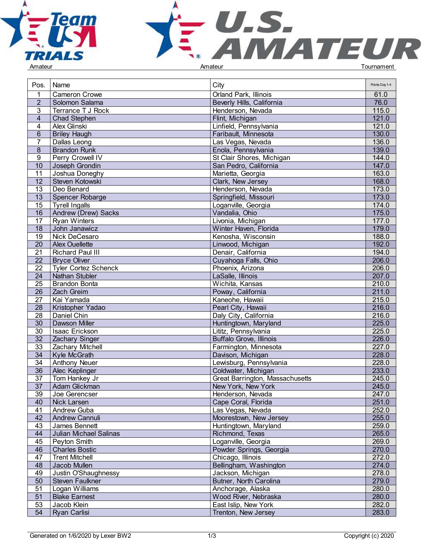



| Pos.                  | Name                                 | City                            | Points Day 1-4 |  |
|-----------------------|--------------------------------------|---------------------------------|----------------|--|
|                       | <b>Cameron Crowe</b>                 | Orland Park, Illinois           | 61.0           |  |
| $\overline{2}$        | Solomon Salama                       | Beverly Hills, California       | 76.0           |  |
| 3                     | Terrance T J Rock                    | Henderson, Nevada               | 115.0          |  |
| $\overline{4}$        | <b>Chad Stephen</b>                  | Flint, Michigan                 | 121.0          |  |
| 4                     | Alex Glinski                         | Linfield, Pennsylvania          | 121.0          |  |
| 6                     | <b>Briley Haugh</b>                  | Faribault, Minnesota            | 130.0          |  |
| 7                     | Dallas Leong                         | Las Vegas, Nevada               | 136.0          |  |
| 8                     | <b>Brandon Runk</b>                  | Enola, Pennsylvania             | 139.0          |  |
| 9                     | Perry Crowell IV                     | St Clair Shores, Michigan       | 144.0          |  |
| 10                    | Joseph Grondin                       | San Pedro, California           | 147.0          |  |
| 11                    | Joshua Doneghy                       | Marietta, Georgia               | 163.0          |  |
| 12                    | Steven Kotowski                      | Clark, New Jersey               | 168.0          |  |
| 13                    | Deo Benard                           | Henderson, Nevada               | 173.0          |  |
| 13                    | Spencer Robarge                      | Springfield, Missouri           | 173.0          |  |
| 15                    | <b>Tyrell Ingalls</b>                | Loganville, Georgia             | 174.0          |  |
| 16                    | Andrew (Drew) Sacks                  | Vandalia, Ohio                  | 175.0          |  |
|                       |                                      | Livonia, Michigan               | 177.0          |  |
| 17<br>18              | <b>Ryan Winters</b><br>John Janawicz | Winter Haven, Florida           | 179.0          |  |
|                       |                                      |                                 |                |  |
| 19<br>20              | Nick DeCesaro<br>Alex Ouellette      | Kenosha, Wisconsin              | 188.0<br>192.0 |  |
|                       |                                      | Linwood, Michigan               |                |  |
| 21<br>$\overline{22}$ | <b>Richard Paul III</b>              | Denair, California              | 194.0          |  |
|                       | <b>Bryce Oliver</b>                  | Cuyahoga Falls, Ohio            | 206.0          |  |
| 22                    | <b>Tyler Cortez Schenck</b>          | Phoenix, Arizona                | 206.0          |  |
| 24                    | Nathan Stubler                       | LaSalle, Illinois               | 207.0          |  |
| 25                    | <b>Brandon Bonta</b>                 | Wichita, Kansas                 | 210.0          |  |
| 26                    | Zach Greim                           | Poway, California               | 211.0          |  |
| 27                    | Kai Yamada                           | Kaneohe, Hawaii                 | 215.0          |  |
| 28                    | Kristopher Yadao                     | Pearl City, Hawaii              | 216.0          |  |
| 28                    | Daniel Chin                          | Daly City, California           | 216.0          |  |
| 30 <sup>2</sup>       | <b>Dawson Miller</b>                 | Huntingtown, Maryland           | 225.0          |  |
| 30                    | Isaac Erickson                       | Lititz, Pennsylvania            | 225.0          |  |
| $\overline{32}$       | Zachary Singer                       | <b>Buffalo Grove, Illinois</b>  | 226.0          |  |
| $\overline{33}$       | <b>Zachary Mitchell</b>              | Farmington, Minnesota           | 227.0          |  |
| $\overline{34}$       | Kyle McGrath                         | Davison, Michigan               | 228.0          |  |
| 34                    | <b>Anthony Neuer</b>                 | Lewisburg, Pennsylvania         | 228.0          |  |
| $\overline{36}$       | Alec Keplinger                       | Coldwater, Michigan             | 233.0          |  |
| 37                    | Tom Hankey Jr                        | Great Barrington, Massachusetts | 245.0          |  |
| 37                    | Adam Glickman                        | New York, New York              | 245.0          |  |
| 39                    | Joe Gerencser                        | Henderson, Nevada               | 247.0          |  |
| 40                    | Nick Larsen                          | Cape Coral, Florida             | 251.0          |  |
| 41                    | Andrew Guba                          | Las Vegas, Nevada               | 252.0          |  |
| 42                    | Andrew Cannuli                       | Moorestown, New Jersey          | 255.0          |  |
| 43                    | James Bennett                        | Huntingtown, Maryland           | 259.0          |  |
| 44                    | Julian Michael Salinas               | Richmond, Texas                 | 265.0          |  |
| 45                    | Peyton Smith                         | Loganville, Georgia             | 269.0          |  |
| 46                    | <b>Charles Bostic</b>                | Powder Springs, Georgia         | 270.0          |  |
| 47                    | <b>Trent Mitchell</b>                | Chicago, Illinois               | 272.0          |  |
| 48                    | Jacob Mullen                         | Bellingham, Washington          | 274.0          |  |
| 49                    | Justin O'Shaughnessy                 | Jackson, Michigan               | 278.0          |  |
| 50                    | Steven Faulkner                      | Butner, North Carolina          | 279.0          |  |
| 51                    | Logan Williams                       | Anchorage, Alaska               | 280.0          |  |
| 51                    | <b>Blake Earnest</b>                 | Wood River, Nebraska            | 280.0          |  |
| 53                    | Jacob Klein                          | East Islip, New York            | 282.0          |  |
| 54                    | Ryan Carlisi                         | Trenton, New Jersey             | 283.0          |  |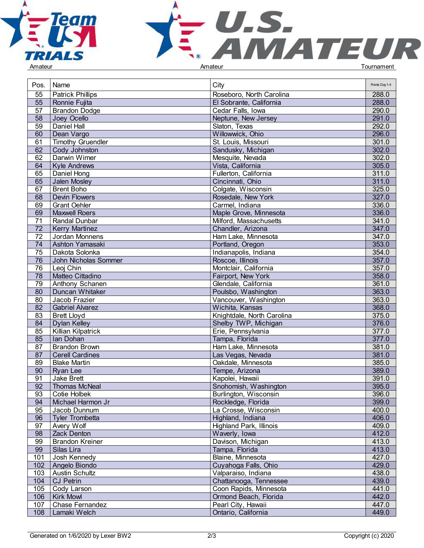



| Pos.            | Name                     | City                           | Points Day 1-4 |
|-----------------|--------------------------|--------------------------------|----------------|
| 55              | <b>Patrick Phillips</b>  | Roseboro, North Carolina       | 288.0          |
| $\overline{55}$ | Ronnie Fujita            | El Sobrante, California        | 288.0          |
| 57              | <b>Brandon Dodge</b>     | Cedar Falls, Iowa              | 290.0          |
| 58              | Joey Ocello              | Neptune, New Jersey            | 291.0          |
| 59              | <b>Daniel Hall</b>       | Slaton, Texas                  | 292.0          |
| 60              | Dean Vargo               | Willowwick, Ohio               | 296.0          |
| 61              | <b>Timothy Gruendler</b> | St. Louis, Missouri            | 301.0          |
| 62              | Cody Johnston            | Sandusky, Michigan             | 302.0          |
| 62              | Darwin Wimer             | Mesquite, Nevada               | 302.0          |
| 64              | <b>Kyle Andrews</b>      | Vista, California              | 305.0          |
| 65              | Daniel Hong              | Fullerton, California          | 311.0          |
| 65              |                          |                                | 311.0          |
|                 | Jalen Mosley             | Cincinnati, Ohio               |                |
| 67              | <b>Brent Boho</b>        | Colgate, Wisconsin             | 325.0          |
| 68              | <b>Devin Flowers</b>     | Rosedale, New York             | 327.0          |
| 69              | <b>Grant Oehler</b>      | Carmel, Indiana                | 336.0          |
| 69              | Maxwell Roers            | Maple Grove, Minnesota         | 336.0          |
| 71              | <b>Randal Dunbar</b>     | Milford, Massachusetts         | 341.0          |
| 72              | <b>Kerry Martinez</b>    | Chandler, Arizona              | 347.0          |
| 72              | Jordan Monnens           | Ham Lake, Minnesota            | 347.0          |
| 74              | Ashton Yamasaki          | Portland, Oregon               | 353.0          |
| 75              | Dakota Solonka           | Indianapolis, Indiana          | 354.0          |
| 76              | John Nicholas Sommer     | Roscoe, Illinois               | 357.0          |
| 76              | Leoj Chin                | Montclair, California          | 357.0          |
| 78              | Matteo Cittadino         | Fairport, New York             | 358.0          |
| 79              | Anthony Schanen          | Glendale, California           | 361.0          |
| 80              | Duncan Whitaker          | Poulsbo, Washington            | 363.0          |
| 80              | Jacob Frazier            | Vancouver, Washington          | 363.0          |
| 82              | <b>Gabriel Alvarez</b>   | Wichita, Kansas                | 368.0          |
| 83              | <b>Brett Lloyd</b>       | Knightdale, North Carolina     | 375.0          |
| 84              | <b>Dylan Kelley</b>      | Shelby TWP, Michigan           | 376.0          |
| 85              | Killian Kilpatrick       | Erie, Pennsylvania             | 377.0          |
| 85              | Ian Dohan                | Tampa, Florida                 | 377.0          |
| 87              | <b>Brandon Brown</b>     | Ham Lake, Minnesota            | 381.0          |
| 87              | <b>Cerell Cardines</b>   | Las Vegas, Nevada              | 381.0          |
| 89              | <b>Blake Martin</b>      | Oakdale, Minnesota             | 385.0          |
| 90              | Ryan Lee                 | Tempe, Arizona                 | 389.0          |
| 91              | Jake Brett               | Kapolei, Hawaii                | 391.0          |
| 92              | <b>Thomas McNeal</b>     | Snohomish, Washington          | 395.0          |
| 93              | Cotie Holbek             | Burlington, Wisconsin          | 396.0          |
| 94              | Michael Harmon Jr        | Rockledge, Florida             | 399.0          |
| 95              | Jacob Dunnum             | La Crosse, Wisconsin           | 400.0          |
| 96              | <b>Tyler Trombetta</b>   | Highland, Indiana              | 406.0          |
| 97              | Avery Wolf               | <b>Highland Park, Illinois</b> | 409.0          |
| 98              | Zack Denton              | Waverly, Iowa                  | 412.0          |
| 99              | <b>Brandon Kreiner</b>   | Davison, Michigan              | 413.0          |
| 99              | Silas Lira               | Tampa, Florida                 | 413.0          |
| 101             | Josh Kennedy             | Blaine, Minnesota              | 427.0          |
|                 |                          |                                | 429.0          |
| 102             | Angelo Biondo            | Cuyahoga Falls, Ohio           |                |
| 103             | <b>Austin Schultz</b>    | Valparaiso, Indiana            | 438.0          |
| 104             | CJ Petrin                | Chattanooga, Tennessee         | 439.0          |
| 105             | Cody Larson              | Coon Rapids, Minnesota         | 441.0          |
| 106             | <b>Kirk Mowl</b>         | Ormond Beach, Florida          | 442.0          |
| 107             | Chase Fernandez          | Pearl City, Hawaii             | 447.0          |
| 108             | Lamaki Welch             | Ontario, California            | 449.0          |